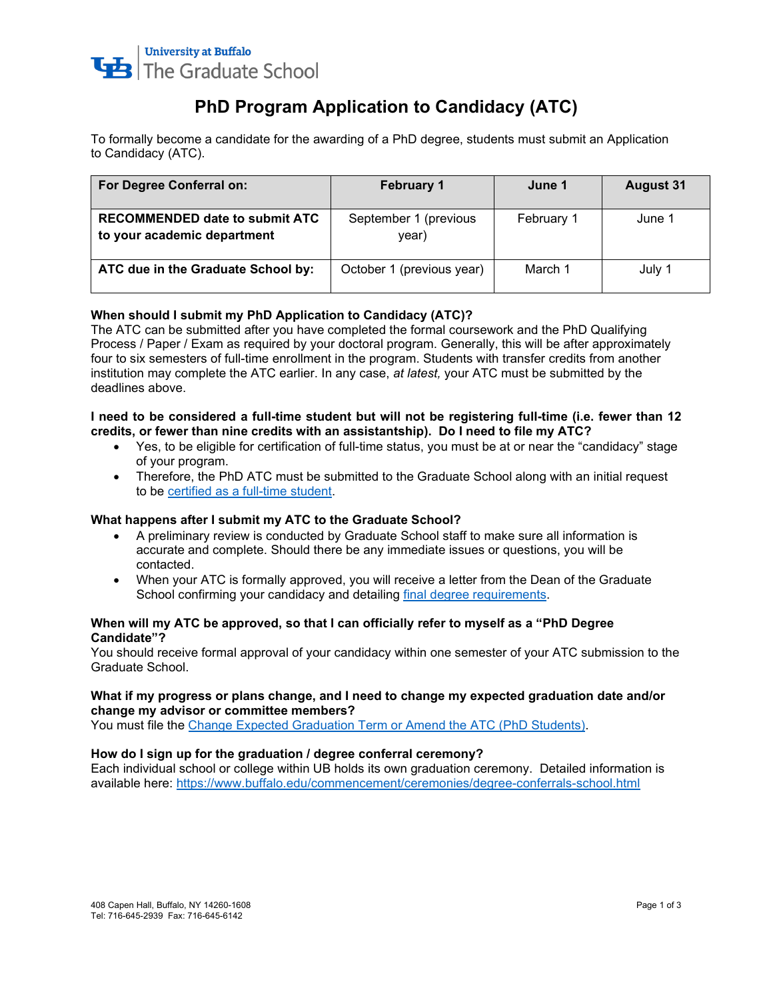

## **PhD Program Application to Candidacy (ATC)**

To formally become a candidate for the awarding of a PhD degree, students must submit an Application to Candidacy (ATC).

| <b>For Degree Conferral on:</b>                                      | <b>February 1</b>              | June 1     | <b>August 31</b> |
|----------------------------------------------------------------------|--------------------------------|------------|------------------|
| <b>RECOMMENDED date to submit ATC</b><br>to your academic department | September 1 (previous<br>year) | February 1 | June 1           |
| ATC due in the Graduate School by:                                   | October 1 (previous year)      | March 1    | July 1           |

### **When should I submit my PhD Application to Candidacy (ATC)?**

The ATC can be submitted after you have completed the formal coursework and the PhD Qualifying Process / Paper / Exam as required by your doctoral program. Generally, this will be after approximately four to six semesters of full-time enrollment in the program. Students with transfer credits from another institution may complete the ATC earlier. In any case, *at latest,* your ATC must be submitted by the deadlines above.

#### **I need to be considered a full-time student but will not be registering full-time (i.e. fewer than 12 credits, or fewer than nine credits with an assistantship). Do I need to file my ATC?**

- Yes, to be eligible for certification of full-time status, you must be at or near the "candidacy" stage of your program.
- Therefore, the PhD ATC must be submitted to the Graduate School along with an initial request to be [certified as a full-time student.](https://www.buffalo.edu/content/dam/grad/forms/cert-fts-phd.pdf)

#### **What happens after I submit my ATC to the Graduate School?**

- A preliminary review is conducted by Graduate School staff to make sure all information is accurate and complete. Should there be any immediate issues or questions, you will be contacted.
- When your ATC is formally approved, you will receive a letter from the Dean of the Graduate School confirming your candidacy and detailing [final degree requirements.](https://www.buffalo.edu/grad/succeed/graduate/requirements.html)

#### **When will my ATC be approved, so that I can officially refer to myself as a "PhD Degree Candidate"?**

You should receive formal approval of your candidacy within one semester of your ATC submission to the Graduate School.

#### **What if my progress or plans change, and I need to change my expected graduation date and/or change my advisor or committee members?**

You must file the [Change Expected Graduation Term or Amend the ATC \(PhD Students\).](https://www.buffalo.edu/content/dam/grad/forms/amend-atc-phd.pdf)

#### **How do I sign up for the graduation / degree conferral ceremony?**

Each individual school or college within UB holds its own graduation ceremony. Detailed information is available here:<https://www.buffalo.edu/commencement/ceremonies/degree-conferrals-school.html>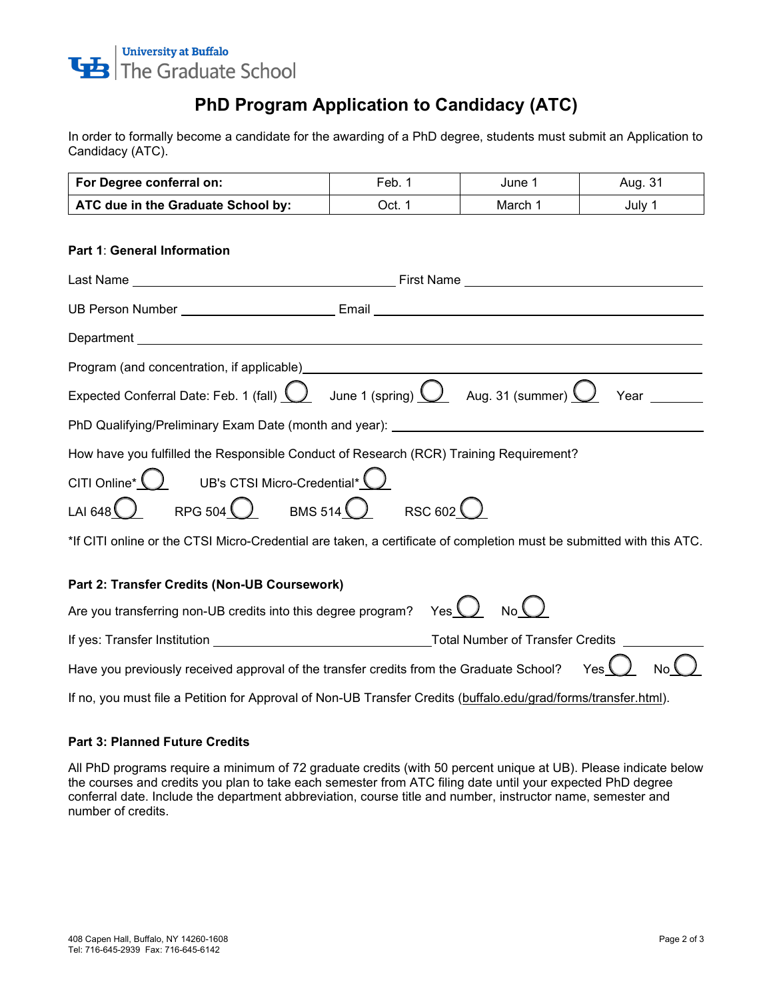

# **PhD Program Application to Candidacy (ATC)**

In order to formally become a candidate for the awarding of a PhD degree, students must submit an Application to Candidacy (ATC).

| For Degree conferral on:           | Feb. | June  | . د . Aug |
|------------------------------------|------|-------|-----------|
| ATC due in the Graduate School by: | Oct. | March | July      |

### **Part 1**: **General Information**

| Program (and concentration, if applicable)<br><u>manual content</u> ration of applicable and an analyzing the state of the state of the state of the state of the state of the state of the state of the state of the state of the sta |                                                                                                                      |
|----------------------------------------------------------------------------------------------------------------------------------------------------------------------------------------------------------------------------------------|----------------------------------------------------------------------------------------------------------------------|
| Expected Conferral Date: Feb. 1 (fall) $\bigcup$ June 1 (spring) $\bigcup$ Aug. 31 (summer) $\bigcup$                                                                                                                                  | Year                                                                                                                 |
|                                                                                                                                                                                                                                        |                                                                                                                      |
| How have you fulfilled the Responsible Conduct of Research (RCR) Training Requirement?<br>CITI Online* $\bigcup$ UB's CTSI Micro-Credential* $\bigcup$<br>LAI 648 $\bigcirc$ RPG 504 $\bigcirc$ BMS 514 $\bigcirc$ RSC 602 $\bigcirc$  | *If CITI online or the CTSI Micro-Credential are taken, a certificate of completion must be submitted with this ATC. |
| Part 2: Transfer Credits (Non-UB Coursework)<br>Are you transferring non-UB credits into this degree program?                                                                                                                          | No<br>Yes <b>\</b>                                                                                                   |
| Have you previously received approval of the transfer credits from the Graduate School?                                                                                                                                                | Yes<br>No                                                                                                            |

If no, you must file a Petition for Approval of Non-UB Transfer Credits (buffalo.edu/grad/forms/transfer.html).

#### **Part 3: Planned Future Credits**

All PhD programs require a minimum of 72 graduate credits (with 50 percent unique at UB). Please indicate below the courses and credits you plan to take each semester from ATC filing date until your expected PhD degree conferral date. Include the department abbreviation, course title and number, instructor name, semester and number of credits.